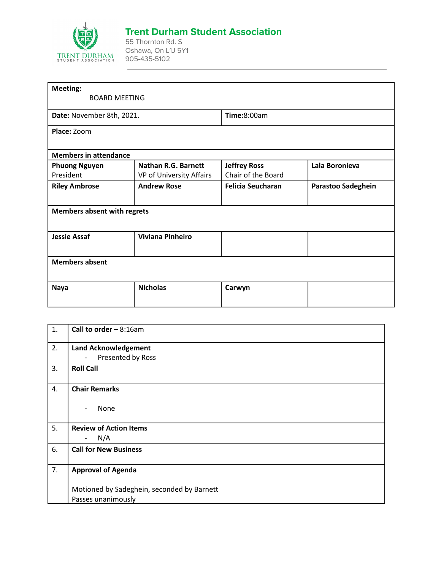

## **Trent Durham Student Association**

55 Thornton Rd. S Oshawa, On L1J 5Y1 905-435-5102

| <b>Meeting:</b><br><b>BOARD MEETING</b> |                            |                          |                    |
|-----------------------------------------|----------------------------|--------------------------|--------------------|
| Date: November 8th, 2021.               |                            | <b>Time:</b> 8:00am      |                    |
| Place: Zoom                             |                            |                          |                    |
| <b>Members in attendance</b>            |                            |                          |                    |
| <b>Phuong Nguyen</b>                    | <b>Nathan R.G. Barnett</b> | <b>Jeffrey Ross</b>      | Lala Boronieva     |
| President                               | VP of University Affairs   | Chair of the Board       |                    |
| <b>Riley Ambrose</b>                    | <b>Andrew Rose</b>         | <b>Felicia Seucharan</b> | Parastoo Sadeghein |
| <b>Members absent with regrets</b>      |                            |                          |                    |
| <b>Jessie Assaf</b>                     | <b>Viviana Pinheiro</b>    |                          |                    |
| <b>Members absent</b>                   |                            |                          |                    |
| <b>Naya</b>                             | <b>Nicholas</b>            | Carwyn                   |                    |

| 1. | <b>Call to order - 8:16am</b>              |
|----|--------------------------------------------|
| 2. | <b>Land Acknowledgement</b>                |
|    | Presented by Ross<br>$\blacksquare$        |
| 3. | <b>Roll Call</b>                           |
| 4. | <b>Chair Remarks</b>                       |
|    | None<br>$\overline{\phantom{a}}$           |
| 5. | <b>Review of Action Items</b>              |
|    | N/A<br>$\qquad \qquad -$                   |
| 6. | <b>Call for New Business</b>               |
| 7. | <b>Approval of Agenda</b>                  |
|    | Motioned by Sadeghein, seconded by Barnett |
|    | Passes unanimously                         |